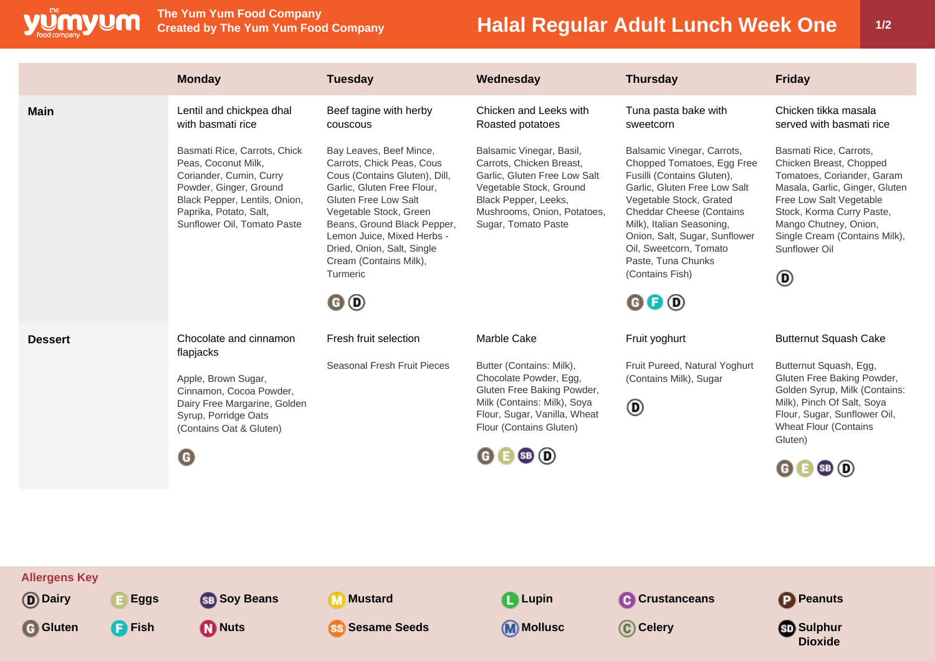

**The Yum Yum Food Company**

## **Halal Regular Adult Lunch Week One | 1/2**

|                | <b>Monday</b>                                                                                                                                                                                      | <b>Tuesday</b>                                                                                                                                                                                                                                                                                               | Wednesday                                                                                                                                                                                     | <b>Thursday</b>                                                                                                                                                                                                                                                                                                                                  | <b>Friday</b>                                                                                                                                                                                                                                             |
|----------------|----------------------------------------------------------------------------------------------------------------------------------------------------------------------------------------------------|--------------------------------------------------------------------------------------------------------------------------------------------------------------------------------------------------------------------------------------------------------------------------------------------------------------|-----------------------------------------------------------------------------------------------------------------------------------------------------------------------------------------------|--------------------------------------------------------------------------------------------------------------------------------------------------------------------------------------------------------------------------------------------------------------------------------------------------------------------------------------------------|-----------------------------------------------------------------------------------------------------------------------------------------------------------------------------------------------------------------------------------------------------------|
| <b>Main</b>    | Lentil and chickpea dhal<br>with basmati rice                                                                                                                                                      | Beef tagine with herby<br>couscous                                                                                                                                                                                                                                                                           | Chicken and Leeks with<br>Roasted potatoes                                                                                                                                                    | Tuna pasta bake with<br>sweetcorn                                                                                                                                                                                                                                                                                                                | Chicken tikka masala<br>served with basmati rice                                                                                                                                                                                                          |
|                | Basmati Rice, Carrots, Chick<br>Peas, Coconut Milk,<br>Coriander, Cumin, Curry<br>Powder, Ginger, Ground<br>Black Pepper, Lentils, Onion,<br>Paprika, Potato, Salt,<br>Sunflower Oil, Tomato Paste | Bay Leaves, Beef Mince,<br>Carrots, Chick Peas, Cous<br>Cous (Contains Gluten), Dill,<br>Garlic, Gluten Free Flour,<br>Gluten Free Low Salt<br>Vegetable Stock, Green<br>Beans, Ground Black Pepper,<br>Lemon Juice, Mixed Herbs -<br>Dried, Onion, Salt, Single<br>Cream (Contains Milk),<br>Turmeric<br>0O | Balsamic Vinegar, Basil,<br>Carrots, Chicken Breast,<br>Garlic, Gluten Free Low Salt<br>Vegetable Stock, Ground<br>Black Pepper, Leeks,<br>Mushrooms, Onion, Potatoes,<br>Sugar, Tomato Paste | Balsamic Vinegar, Carrots,<br>Chopped Tomatoes, Egg Free<br>Fusilli (Contains Gluten),<br>Garlic, Gluten Free Low Salt<br>Vegetable Stock, Grated<br><b>Cheddar Cheese (Contains</b><br>Milk), Italian Seasoning,<br>Onion, Salt, Sugar, Sunflower<br>Oil, Sweetcorn, Tomato<br>Paste, Tuna Chunks<br>(Contains Fish)<br>$\mathbf{0} \mathbf{0}$ | Basmati Rice, Carrots,<br>Chicken Breast, Chopped<br>Tomatoes, Coriander, Garam<br>Masala, Garlic, Ginger, Gluten<br>Free Low Salt Vegetable<br>Stock, Korma Curry Paste,<br>Mango Chutney, Onion,<br>Single Cream (Contains Milk),<br>Sunflower Oil<br>◉ |
| <b>Dessert</b> | Chocolate and cinnamon<br>flapjacks<br>Apple, Brown Sugar,<br>Cinnamon, Cocoa Powder,<br>Dairy Free Margarine, Golden<br>Syrup, Porridge Oats<br>(Contains Oat & Gluten)<br>O                      |                                                                                                                                                                                                                                                                                                              |                                                                                                                                                                                               |                                                                                                                                                                                                                                                                                                                                                  |                                                                                                                                                                                                                                                           |
|                |                                                                                                                                                                                                    | Fresh fruit selection                                                                                                                                                                                                                                                                                        | Marble Cake                                                                                                                                                                                   | Fruit yoghurt                                                                                                                                                                                                                                                                                                                                    | <b>Butternut Squash Cake</b>                                                                                                                                                                                                                              |
|                |                                                                                                                                                                                                    | Seasonal Fresh Fruit Pieces                                                                                                                                                                                                                                                                                  | Butter (Contains: Milk),<br>Chocolate Powder, Egg,<br>Gluten Free Baking Powder,<br>Milk (Contains: Milk), Soya<br>Flour, Sugar, Vanilla, Wheat<br>Flour (Contains Gluten)                    | Fruit Pureed, Natural Yoghurt<br>(Contains Milk), Sugar<br>◉                                                                                                                                                                                                                                                                                     | Butternut Squash, Egg,<br>Gluten Free Baking Powder,<br>Golden Syrup, Milk (Contains:<br>Milk), Pinch Of Salt, Soya<br>Flour, Sugar, Sunflower Oil,<br><b>Wheat Flour (Contains</b><br>Gluten)                                                            |
|                |                                                                                                                                                                                                    |                                                                                                                                                                                                                                                                                                              |                                                                                                                                                                                               |                                                                                                                                                                                                                                                                                                                                                  |                                                                                                                                                                                                                                                           |
|                |                                                                                                                                                                                                    |                                                                                                                                                                                                                                                                                                              |                                                                                                                                                                                               |                                                                                                                                                                                                                                                                                                                                                  |                                                                                                                                                                                                                                                           |
|                |                                                                                                                                                                                                    |                                                                                                                                                                                                                                                                                                              |                                                                                                                                                                                               |                                                                                                                                                                                                                                                                                                                                                  |                                                                                                                                                                                                                                                           |
|                |                                                                                                                                                                                                    |                                                                                                                                                                                                                                                                                                              |                                                                                                                                                                                               |                                                                                                                                                                                                                                                                                                                                                  |                                                                                                                                                                                                                                                           |